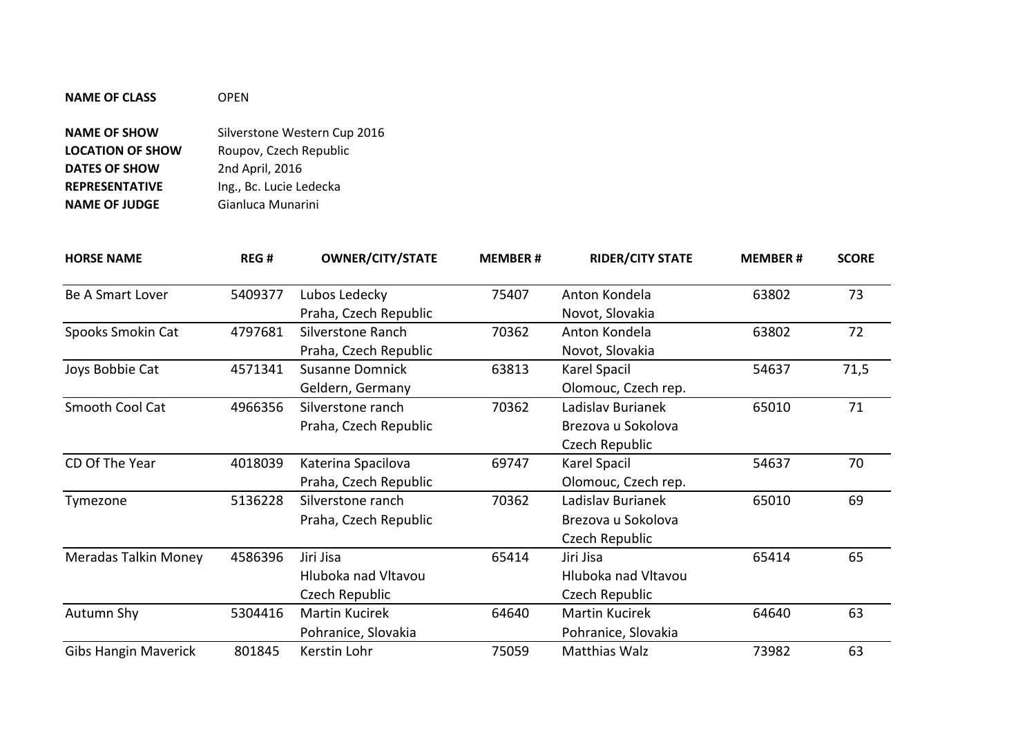| <b>NAME OF CLASS</b>    | OPFN                         |  |  |  |
|-------------------------|------------------------------|--|--|--|
| <b>NAME OF SHOW</b>     | Silverstone Western Cup 2016 |  |  |  |
| <b>LOCATION OF SHOW</b> | Roupov, Czech Republic       |  |  |  |
| <b>DATES OF SHOW</b>    | 2nd April, 2016              |  |  |  |
| <b>REPRESENTATIVE</b>   | Ing., Bc. Lucie Ledecka      |  |  |  |
| <b>NAME OF JUDGE</b>    | Gianluca Munarini            |  |  |  |

| <b>HORSE NAME</b>           | REG#    | <b>OWNER/CITY/STATE</b> | <b>MEMBER#</b> | <b>RIDER/CITY STATE</b> | <b>MEMBER#</b> | <b>SCORE</b> |
|-----------------------------|---------|-------------------------|----------------|-------------------------|----------------|--------------|
| <b>Be A Smart Lover</b>     | 5409377 | Lubos Ledecky           | 75407          | Anton Kondela           | 63802          | 73           |
|                             |         | Praha, Czech Republic   |                | Novot, Slovakia         |                |              |
| Spooks Smokin Cat           | 4797681 | Silverstone Ranch       | 70362          | Anton Kondela           | 63802          | 72           |
|                             |         | Praha, Czech Republic   |                | Novot, Slovakia         |                |              |
| Joys Bobbie Cat             | 4571341 | <b>Susanne Domnick</b>  | 63813          | Karel Spacil            | 54637          | 71,5         |
|                             |         | Geldern, Germany        |                | Olomouc, Czech rep.     |                |              |
| Smooth Cool Cat             | 4966356 | Silverstone ranch       | 70362          | Ladislav Burianek       | 65010          | 71           |
|                             |         | Praha, Czech Republic   |                | Brezova u Sokolova      |                |              |
|                             |         |                         |                | Czech Republic          |                |              |
| CD Of The Year              | 4018039 | Katerina Spacilova      | 69747          | Karel Spacil            | 54637          | 70           |
|                             |         | Praha, Czech Republic   |                | Olomouc, Czech rep.     |                |              |
| Tymezone                    | 5136228 | Silverstone ranch       | 70362          | Ladislav Burianek       | 65010          | 69           |
|                             |         | Praha, Czech Republic   |                | Brezova u Sokolova      |                |              |
|                             |         |                         |                | Czech Republic          |                |              |
| Meradas Talkin Money        | 4586396 | Jiri Jisa               | 65414          | Jiri Jisa               | 65414          | 65           |
|                             |         | Hluboka nad Vltavou     |                | Hluboka nad Vltavou     |                |              |
|                             |         | Czech Republic          |                | Czech Republic          |                |              |
| Autumn Shy                  | 5304416 | <b>Martin Kucirek</b>   | 64640          | Martin Kucirek          | 64640          | 63           |
|                             |         | Pohranice, Slovakia     |                | Pohranice, Slovakia     |                |              |
| <b>Gibs Hangin Maverick</b> | 801845  | Kerstin Lohr            | 75059          | Matthias Walz           | 73982          | 63           |